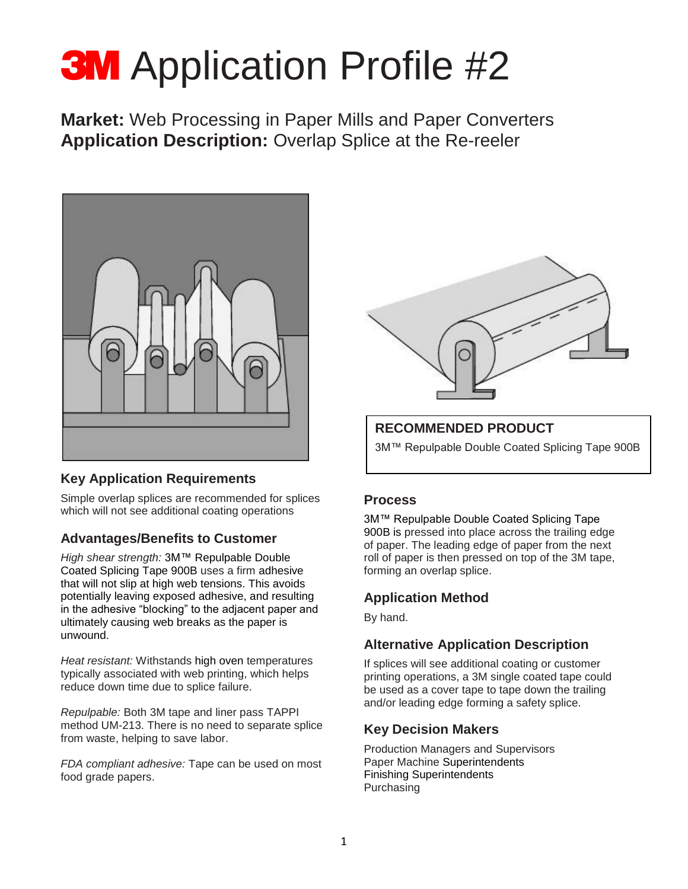# **3M** Application Profile #2

**Market:** Web Processing in Paper Mills and Paper Converters **Application Description:** Overlap Splice at the Re-reeler



#### **Key Application Requirements**

Simple overlap splices are recommended for splices which will not see additional coating operations

#### **Advantages/Benefits to Customer**

*High shear strength:* 3M™ Repulpable Double Coated Splicing Tape 900B uses a firm adhesive that will not slip at high web tensions. This avoids potentially leaving exposed adhesive, and resulting in the adhesive "blocking" to the adjacent paper and ultimately causing web breaks as the paper is unwound.

*Heat resistant:* Withstands high oven temperatures typically associated with web printing, which helps reduce down time due to splice failure.

*Repulpable:* Both 3M tape and liner pass TAPPI method UM-213. There is no need to separate splice from waste, helping to save labor.

*FDA compliant adhesive:* Tape can be used on most food grade papers.



### **RECOMMENDED PRODUCT**

3M™ Repulpable Double Coated Splicing Tape 900B

#### **Process**

3M™ Repulpable Double Coated Splicing Tape 900B is pressed into place across the trailing edge of paper. The leading edge of paper from the next roll of paper is then pressed on top of the 3M tape, forming an overlap splice.

#### **Application Method**

By hand.

#### **Alternative Application Description**

If splices will see additional coating or customer printing operations, a 3M single coated tape could be used as a cover tape to tape down the trailing and/or leading edge forming a safety splice.

#### **Key Decision Makers**

Production Managers and Supervisors Paper Machine Superintendents Finishing Superintendents Purchasing